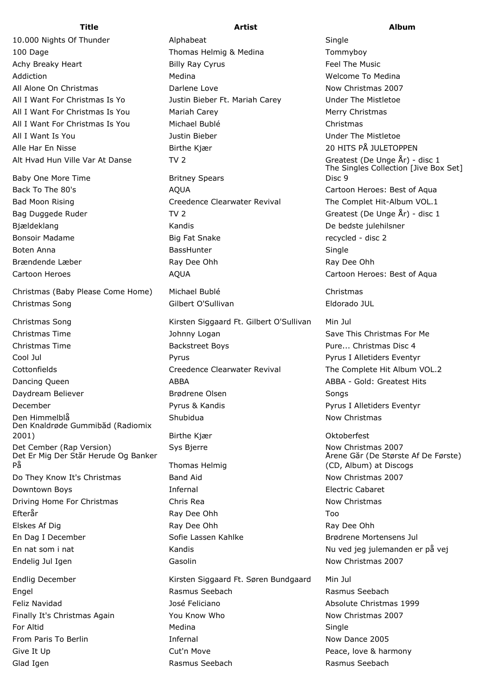Baby One More Time **Britney Spears** 

Christmas (Baby Please Come Home) Michael Bublé Christmas Christmas Song Gilbert O'Sullivan Eldorado JUL

Christmas Time The Save This Christmas For Me Johnny Logan Save This Christmas For Me Christmas Time Backstreet Boys Pure... Christmas Disc 4 Cool Jul Pyrus Pyrus I Alletiders Eventyr Cottonfields Creedence Clearwater Revival The Complete Hit Album VOL.2 Dancing Queen **ABBA** ABBA ABBA ABBA ABBA - Gold: Greatest Hits Daydream Believer Brødrene Olsen Songs December Pyrus & Kandis Pyrus I Alletiders Eventyr Den Himmelblå Shubidua Now Christmas Den Knaldrøde Gummibåd (Radiomix 2001) Birthe Kjær Oktoberfest Det Cember (Rap Version) Sys Bjerre Now Christmas 2007 Det Er Mig Der Står Herude Og Banker På Thomas Helmig Do They Know It's Christmas **Band Aid Now Christmas 2007** Now Christmas 2007 Downtown Boys **Infernal Electric Cabaret Infernal** Driving Home For Christmas **Chris Rea** Chris Rea Now Christmas Efterår 1988 – Efterår 1988 – Efterår 1988 – Efterår 1988 – Ray Dee Ohh 1988 – Too Elskes Af Dig National Ray Dee Ohh Ray Dee Ohh Ray Dee Ohh Ray Dee Ohh Ray Dee Ohh En Dag I December The Sofie Lassen Kahlke Brødrene Mortensens Jul En nat som i nat Nu ved jeg julemanden er på vej Endelig Jul Igen Now Christmas 2007 Casolin Casolin Now Christmas 2007

Give It Up **Cut'n Move Cut'n Move Peace, love & harmony** Glad Igen **Rasmus Seebach** Rasmus Seebach Rasmus Seebach Rasmus Seebach

**Title Artist Album** 10.000 Nights Of Thunder **Alphabeat** Alphabeat Single 100 Dage Thomas Helmig & Medina Tommyboy Achy Breaky Heart **East Exercise State Billy Ray Cyrus** Feel The Music Addiction Medina Welcome To Medina All Alone On Christmas **Now Christmas** 2007 All I Want For Christmas Is Yo Justin Bieber Ft. Mariah Carey Under The Mistletoe All I Want For Christmas Is You Mariah Carey Merry Christmas Merry Christmas All I Want For Christmas Is You Michael Bublé Christmas All I Want Is You Justin Bieber Under The Mistletoe Alle Har En Nisse Birthe Kjær 20 HITS PÅ JULETOPPEN Alt Hvad Hun Ville Var At Danse TV 2 Greatest (De Unge År) - disc 1 Back To The 80's AQUA Cartoon Heroes: Best of Aqua Bad Moon Rising The Complet Hit-Album VOL.1 Bag Duggede Ruder TV 2 TV 2 Greatest (De Unge År) - disc 1 Bjældeklang National Kandis Kandis New York De bedste julehilsner Bonsoir Madame **Big Fat Snake Big Fat Snake** recycled - disc 2 Boten Anna **BassHunter** BassHunter **Single** Boten Anna BassHunter Brændende Læber **Ray Dee Ohh** Ray Dee Ohh Ray Dee Ohh Cartoon Heroes **Cartoon Heroes:** Best of Aqua Christmas Song The Siggaard Ft. Gilbert O'Sullivan Min Jul Endlig December Kirsten Siggaard Ft. Søren Bundgaard Min Jul Engel Rasmus Seebach Rasmus Seebach Feliz Navidad **Absolute Christmas 1999** José Feliciano **Absolute Christmas 1999** Finally It's Christmas Again **You Know Who** Now Christmas 2007 For Altid Single Single Single Single Single Single Single Single Single Single From Paris To Berlin **Infernal** Infernal Now Dance 2005

The Singles Collection [Jive Box Set] Disc 9

Årene Går (De Største Af De Første) (CD, Album) at Discogs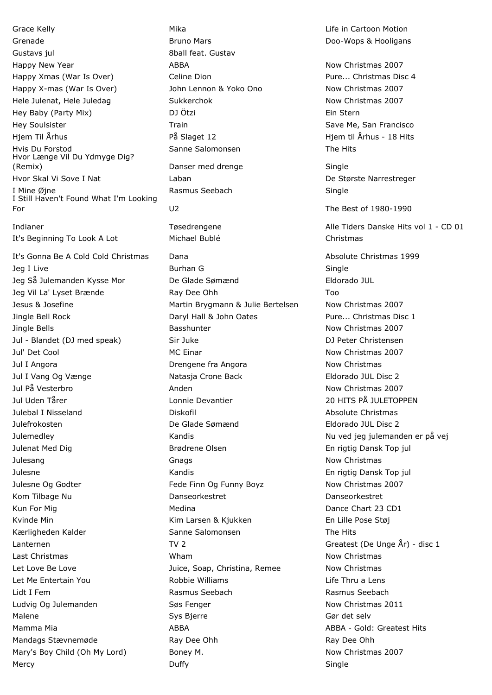Grenade **Bruno Mars Community** Bruno Mars **Bruno Mars** Brown Bruno Mars **Doo-Wops & Hooligans** Gustavs jul 8ball feat. Gustav Happy New Year **Now Christmas 2007** ABBA Now Christmas 2007 Happy Xmas (War Is Over) Celine Dion Communication Pure... Christmas Disc 4 Happy X-mas (War Is Over) The John Lennon & Yoko Ono Now Christmas 2007 Hele Julenat, Hele Juledag **Sukkerchok Now Christmas 2007** Hey Baby (Party Mix) DJ Ötzi Ein Stern Hey Soulsister **Save Me, San Francisco** Train Save Me, San Francisco Casa in Save Me, San Francisco Hiem Til Århus North Arhus And The På Slaget 12 Helm til Århus - 18 Hits Hits Arhus - 18 Hits Arhus - 18 Hits Hvis Du Forstod Sanne Salomonsen The Hits Hvor Længe Vil Du Ydmyge Dig? (Remix) Danser med drenge Single Hvor Skal Vi Sove I Nat Laban De Største Narrestreger I Mine Øjne **Rasmus Seebach** Single I Still Haven't Found What I'm Looking For U2 The Best of 1980-1990 Indianer Tøsedrengene Tøsedrengene Alle Tiders Danske Hits vol 1 - CD 01 It's Beginning To Look A Lot Michael Bublé Christmas It's Gonna Be A Cold Cold Christmas Dana **Dana Absolute Christmas 1999** Jeg I Live Single Burhan G New Single Burhan G New Single Jeg Så Julemanden Kysse Mor De Glade Sømænd Eldorado JUL Jeg Vil La' Lyset Brænde Ray Dee Ohh Too Jesus & Josefine Martin Brygmann & Julie Bertelsen Now Christmas 2007 Jingle Bell Rock Daryl Hall & John Oates Pure... Christmas Disc 1 Jingle Bells **Basshunter** Basshunter **Now Christmas 2007** Jul - Blandet (DJ med speak) Sir Juke DJ Peter Christensen Jul' Det Cool **MC Einar** MC Einar Now Christmas 2007 Jul I Angora Drengene fra Angora Now Christmas Jul I Vang Og Vænge Natasja Crone Back Eldorado JUL Disc 2 Jul På Vesterbro Anden Now Christmas 2007 Jul Uden Tårer Lonnie Devantier 20 HITS PÅ JULETOPPEN Julebal I Nisseland Diskofil Absolute Christmas Julefrokosten De Glade Sømænd Eldorado JUL Disc 2 Julemedley Kandis Nu ved jeg julemanden er på vej Julenat Med Dig Brødrene Olsen En rigtig Dansk Top jul Julesang **Good Christmas** Gnags **Good Christmas Now Christmas** Julesne Kandis En rigtig Dansk Top jul Julesne Og Godter The Fede Finn Og Funny Boyz Now Christmas 2007 Kom Tilbage Nu Danseorkestret Danseorkestret Kun For Mig Medina Dance Chart 23 CD1 Kvinde Min **Kim Larsen & Kiukken** En Lille Pose Støj Kærligheden Kalder Sanne Salomonsen The Hits Lanternen TV 2 Greatest (De Unge År) - disc 1 Last Christmas **Now Christmas** Wham Now Christmas Now Christmas Let Love Be Love **Market Communist Communist Communist Communist Communist Communist Communist Communist Communist Communist Communist Communist Communist Communist Communist Communist Communist Communist Communist Communi** Let Me Entertain You Robbie Williams Life Thru a Lens Lidt I Fem Rasmus Seebach Rasmus Seebach Ludvig Og Julemanden **Søs Fenger** Søs Fenger Now Christmas 2011 Malene Sys Bierre Gør det selver og det selver andet selver selver selver selver selver selver selver selver s Mamma Mia **ABBA** ABBA - Gold: Greatest Hits Mandags Stævnemøde **Ray Dee Ohh** Ray Dee Ohh Ray Dee Ohh Mary's Boy Child (Oh My Lord) Boney M. Now Christmas 2007

Grace Kelly **Mika** Mika Life in Cartoon Motion **Mika** Life in Cartoon Motion Mercy Duffy Single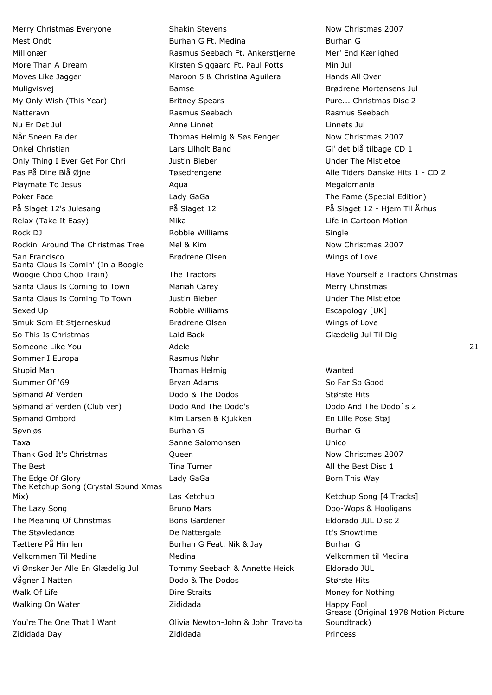Merry Christmas Everyone **Shakin Stevens** Now Christmas 2007 Mest Ondt **Burhan G Ft. Medina** Burhan G Ft. Medina Burhan G Millionær Rasmus Seebach Ft. Ankerstjerne Mer' End Kærlighed More Than A Dream Than A Dream Kirsten Siggaard Ft. Paul Potts Min Jul Moves Like Jagger **Maroon 5 & Christina Aguilera** Hands All Over Muligvisvej Bamse Brødrene Mortensens Jul My Only Wish (This Year) **Britney Spears** Pure... Christmas Disc 2 Natteravn Rasmus Seebach Rasmus Seebach Nu Er Det Jul Anne Linnet Linnets Jul Når Sneen Falder Thomas Helmig & Søs Fenger Now Christmas 2007 Onkel Christian and Care Controllers Lars Lilholt Band Gillary Gillard Gillary Gillary Gillary Controllers CD 1 Only Thing I Ever Get For Chri Justin Bieber Under The Mistletoe Pas På Dine Blå Øjne Transforden av Tøsedrengene Alle Tiders Danske Hits 1 - CD 2 Playmate To Jesus **Aqua** Aqua **Aqua Megalomania** Megalomania Poker Face **The Fame (Special Edition)** Lady GaGa The Fame (Special Edition) På Slaget 12's Julesang På Slaget 12 På Slaget 12 - Hjem Til Århus Relax (Take It Easy) The Mika Mika Life in Cartoon Motion Rock DJ **Robbie Williams** Single Rockin' Around The Christmas Tree Mel & Kim Now Christmas 2007 San Francisco Brødrene Olsen Wings of Love Santa Claus Is Comin' (In a Boogie Woogie Choo Choo Train) The Tractors Have Yourself a Tractors Christmas Santa Claus Is Coming to Town Mariah Carey Merry Merry Christmas Santa Claus Is Coming To Town Tustin Bieber The Missue Claus Is Coming To Town Tustin Bieber Under The Mistletoe Sexed Up **Example 20** Sexed Up **Robbie Williams Example 20** Escapology [UK] Smuk Som Et Stjerneskud Brødrene Olsen Wings of Love So This Is Christmas **So This Is Christmas** Laid Back Glædelig Jul Til Dig Someone Like You **Adele** 21 Adele 221 Sommer I Europa **Rasmus Nøhr** Rasmus Nøhr Stupid Man North Communism Communism Thomas Helmiq North Communism Wanted Summer Of '69 Bryan Adams So Far So Good Bryan Adams So Far So Good Sømand Af Verden Dodo & The Dodos Største Hits Sømand af verden (Club ver) Dodo And The Dodo's Dodo And The Dodo And The Dodo's 2 Sømand Ombord Kim Larsen & Kjukken En Lille Pose Støj Søvnløs Burhan G Burhan G Taxa Sanne Salomonsen Unico Thank God It's Christmas **Community** Cueen Now Christmas 2007 The Best **Time Turner** Time Turner All the Best Disc 1 The Edge Of Glory Lady GaGa Born This Way The Ketchup Song (Crystal Sound Xmas Mix) Las Ketchup Communication Communication (4 Tracks] The Lazy Song The Lazy Song Contract Contract Bruno Mars Contract Contract Contract Doo-Wops & Hooligans The Meaning Of Christmas Boris Gardener Eldorado JUL Disc 2 The Støvledance The Støvledance and De Nattergale The Støvledance It's Snowtime Tættere På Himlen Tættere På Himlen Burhan G Feat. Nik & Jay Burhan G Velkommen Til Medina Medina Velkommen til Medina Vi Ønsker Jer Alle En Glædelig Jul Tommy Seebach & Annette Heick Eldorado JUL Vågner I Natten The Louis Codo & The Dodos The Største Hits Walk Of Life **Notain Community** Dire Straits **Money For Nothing** Money for Nothing Walking On Water **National Accord Contract Accord Zididada** National Accord Mappy Fool

You're The One That I Want Olivia Newton-John & John Travolta Zididada Day Zididada Princess

Grease (Original 1978 Motion Picture Soundtrack)